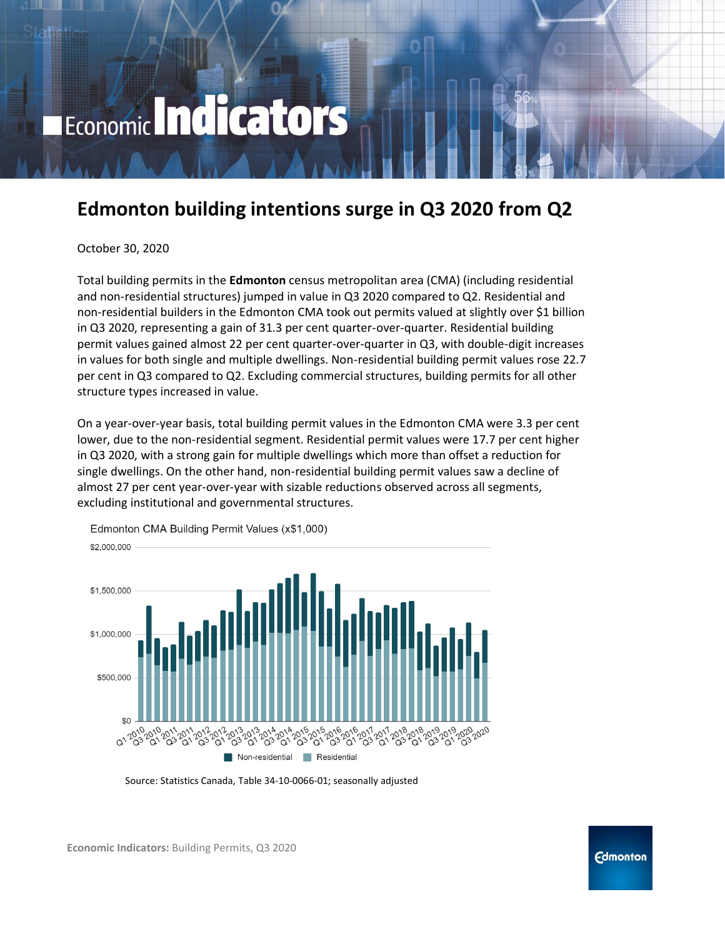# Economic Indicators

# **Edmonton building intentions surge in Q3 2020 from Q2**

October 30, 2020

Total building permits in the **Edmonton** census metropolitan area (CMA) (including residential and non-residential structures) jumped in value in Q3 2020 compared to Q2. Residential and non-residential builders in the Edmonton CMA took out permits valued at slightly over \$1 billion in Q3 2020, representing a gain of 31.3 per cent quarter-over-quarter. Residential building permit values gained almost 22 per cent quarter-over-quarter in Q3, with double-digit increases in values for both single and multiple dwellings. Non-residential building permit values rose 22.7 per cent in Q3 compared to Q2. Excluding commercial structures, building permits for all other structure types increased in value.

On a year-over-year basis, total building permit values in the Edmonton CMA were 3.3 per cent lower, due to the non-residential segment. Residential permit values were 17.7 per cent higher in Q3 2020, with a strong gain for multiple dwellings which more than offset a reduction for single dwellings. On the other hand, non-residential building permit values saw a decline of almost 27 per cent year-over-year with sizable reductions observed across all segments, excluding institutional and governmental structures.



Edmonton CMA Building Permit Values (x\$1,000)

Source: Statistics Canada, Table 34-10-0066-01; seasonally adjusted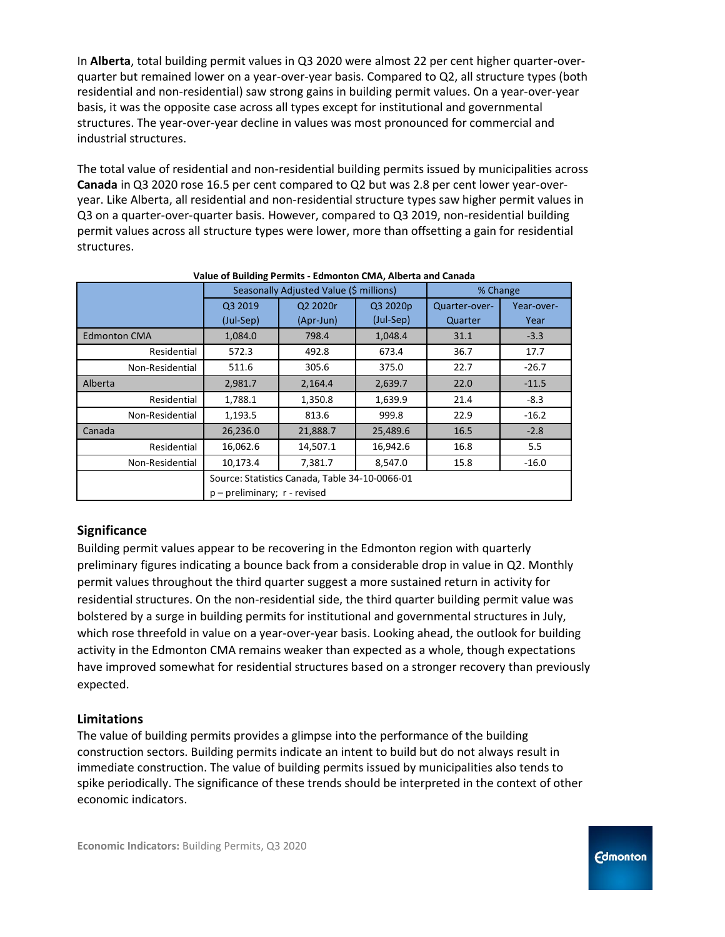In **Alberta**, total building permit values in Q3 2020 were almost 22 per cent higher quarter-overquarter but remained lower on a year-over-year basis. Compared to Q2, all structure types (both residential and non-residential) saw strong gains in building permit values. On a year-over-year basis, it was the opposite case across all types except for institutional and governmental structures. The year-over-year decline in values was most pronounced for commercial and industrial structures.

The total value of residential and non-residential building permits issued by municipalities across **Canada** in Q3 2020 rose 16.5 per cent compared to Q2 but was 2.8 per cent lower year-overyear. Like Alberta, all residential and non-residential structure types saw higher permit values in Q3 on a quarter-over-quarter basis. However, compared to Q3 2019, non-residential building permit values across all structure types were lower, more than offsetting a gain for residential structures.

| value of Dunuing Ferning - Lumonton Civin, Alberta and Canada |                                                |                                         |           |               |            |  |  |  |  |  |
|---------------------------------------------------------------|------------------------------------------------|-----------------------------------------|-----------|---------------|------------|--|--|--|--|--|
|                                                               |                                                | Seasonally Adjusted Value (\$ millions) | % Change  |               |            |  |  |  |  |  |
|                                                               | Q3 2019                                        | Q2 2020r                                | Q3 2020p  | Quarter-over- | Year-over- |  |  |  |  |  |
|                                                               | (Jul-Sep)                                      | (Apr-Jun)                               | (Jul-Sep) | Quarter       | Year       |  |  |  |  |  |
| <b>Edmonton CMA</b>                                           | 1,084.0                                        | 798.4                                   | 1,048.4   | 31.1          | $-3.3$     |  |  |  |  |  |
| Residential                                                   | 572.3                                          | 492.8                                   | 673.4     | 36.7          | 17.7       |  |  |  |  |  |
| Non-Residential                                               | 511.6                                          | 305.6                                   | 375.0     | 22.7          | $-26.7$    |  |  |  |  |  |
| Alberta                                                       | 2,981.7                                        | 2,164.4                                 | 2,639.7   | 22.0          | $-11.5$    |  |  |  |  |  |
| Residential                                                   | 1,788.1                                        | 1,350.8                                 | 1,639.9   | 21.4          | $-8.3$     |  |  |  |  |  |
| Non-Residential                                               | 1,193.5                                        | 813.6                                   | 999.8     | 22.9          | $-16.2$    |  |  |  |  |  |
| Canada                                                        | 26,236.0                                       | 21,888.7                                | 25,489.6  | 16.5          | $-2.8$     |  |  |  |  |  |
| Residential                                                   | 16,062.6                                       | 14,507.1                                | 16,942.6  | 16.8          | 5.5        |  |  |  |  |  |
| Non-Residential                                               | 10,173.4                                       | 7,381.7                                 | 8,547.0   | 15.8          | $-16.0$    |  |  |  |  |  |
|                                                               | Source: Statistics Canada, Table 34-10-0066-01 |                                         |           |               |            |  |  |  |  |  |
|                                                               | $p$ – preliminary; $r$ - revised               |                                         |           |               |            |  |  |  |  |  |

|  | Value of Building Permits - Edmonton CMA, Alberta and Canada |  |  |
|--|--------------------------------------------------------------|--|--|
|  |                                                              |  |  |

### **Significance**

Building permit values appear to be recovering in the Edmonton region with quarterly preliminary figures indicating a bounce back from a considerable drop in value in Q2. Monthly permit values throughout the third quarter suggest a more sustained return in activity for residential structures. On the non-residential side, the third quarter building permit value was bolstered by a surge in building permits for institutional and governmental structures in July, which rose threefold in value on a year-over-year basis. Looking ahead, the outlook for building activity in the Edmonton CMA remains weaker than expected as a whole, though expectations have improved somewhat for residential structures based on a stronger recovery than previously expected.

#### **Limitations**

The value of building permits provides a glimpse into the performance of the building construction sectors. Building permits indicate an intent to build but do not always result in immediate construction. The value of building permits issued by municipalities also tends to spike periodically. The significance of these trends should be interpreted in the context of other economic indicators.